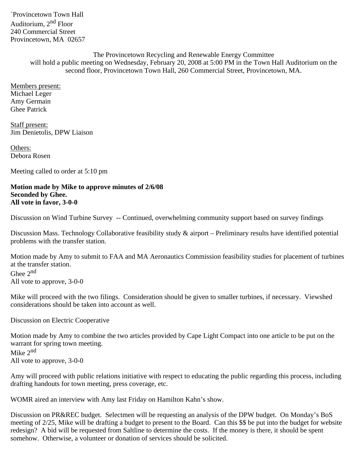`Provincetown Town Hall Auditorium, 2nd Floor 240 Commercial Street Provincetown, MA 02657

> The Provincetown Recycling and Renewable Energy Committee will hold a public meeting on Wednesday, February 20, 2008 at 5:00 PM in the Town Hall Auditorium on the second floor, Provincetown Town Hall, 260 Commercial Street, Provincetown, MA.

Members present: Michael Leger Amy Germain Ghee Patrick

Staff present: Jim Denietolis, DPW Liaison

Others: Debora Rosen

Meeting called to order at 5:10 pm

**Motion made by Mike to approve minutes of 2/6/08 Seconded by Ghee. All vote in favor, 3-0-0**

Discussion on Wind Turbine Survey -- Continued, overwhelming community support based on survey findings

Discussion Mass. Technology Collaborative feasibility study & airport – Preliminary results have identified potential problems with the transfer station.

Motion made by Amy to submit to FAA and MA Aeronautics Commission feasibility studies for placement of turbines at the transfer station. Ghee 2<sup>nd</sup> All vote to approve, 3-0-0

Mike will proceed with the two filings. Consideration should be given to smaller turbines, if necessary. Viewshed considerations should be taken into account as well.

Discussion on Electric Cooperative

Motion made by Amy to combine the two articles provided by Cape Light Compact into one article to be put on the warrant for spring town meeting. Mike 2<sup>nd</sup> All vote to approve, 3-0-0

Amy will proceed with public relations initiative with respect to educating the public regarding this process, including drafting handouts for town meeting, press coverage, etc.

WOMR aired an interview with Amy last Friday on Hamilton Kahn's show.

Discussion on PR&REC budget. Selectmen will be requesting an analysis of the DPW budget. On Monday's BoS meeting of 2/25, Mike will be drafting a budget to present to the Board. Can this \$\$ be put into the budget for website redesign? A bid will be requested from Saltline to determine the costs. If the money is there, it should be spent somehow. Otherwise, a volunteer or donation of services should be solicited.